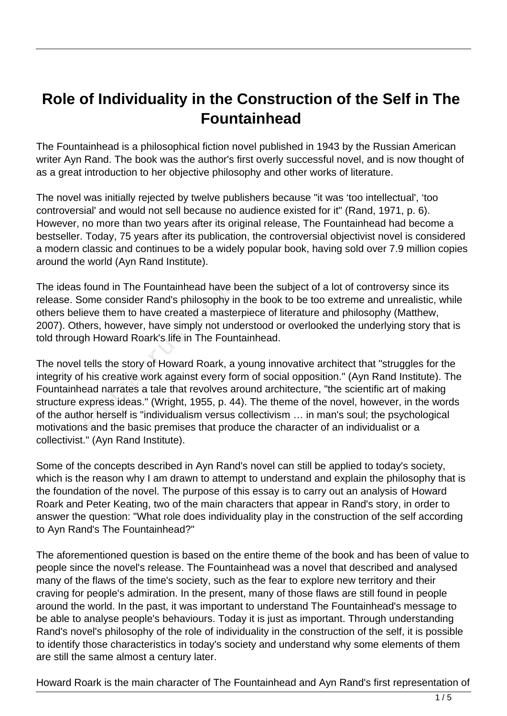## **Role of Individuality in the Construction of the Self in The Fountainhead**

The Fountainhead is a philosophical fiction novel published in 1943 by the Russian American writer Ayn Rand. The book was the author's first overly successful novel, and is now thought of as a great introduction to her objective philosophy and other works of literature.

The novel was initially rejected by twelve publishers because "it was 'too intellectual', 'too controversial' and would not sell because no audience existed for it" (Rand, 1971, p. 6). However, no more than two years after its original release, The Fountainhead had become a bestseller. Today, 75 years after its publication, the controversial objectivist novel is considered a modern classic and continues to be a widely popular book, having sold over 7.9 million copies around the world (Ayn Rand Institute).

The ideas found in The Fountainhead have been the subject of a lot of controversy since its release. Some consider Rand's philosophy in the book to be too extreme and unrealistic, while others believe them to have created a masterpiece of literature and philosophy (Matthew, 2007). Others, however, have simply not understood or overlooked the underlying story that is told through Howard Roark's life in The Fountainhead.

The novel tells the story of Howard Roark, a young innovative architect that "struggles for the integrity of his creative work against every form of social opposition." (Ayn Rand Institute). The Fountainhead narrates a tale that revolves around architecture, "the scientific art of making structure express ideas." (Wright, 1955, p. 44). The theme of the novel, however, in the words of the author herself is "individualism versus collectivism … in man's soul; the psychological motivations and the basic premises that produce the character of an individualist or a collectivist." (Ayn Rand Institute). found in The Fountainhead have I<br>ome consider Rand's philosophy i<br>eve them to have created a maste<br>lers, however, have simply not une<br>the Howard Roark's life in The Four<br>tells the story of Howard Roark, a<br>his creative work

Some of the concepts described in Ayn Rand's novel can still be applied to today's society, which is the reason why I am drawn to attempt to understand and explain the philosophy that is the foundation of the novel. The purpose of this essay is to carry out an analysis of Howard Roark and Peter Keating, two of the main characters that appear in Rand's story, in order to answer the question: "What role does individuality play in the construction of the self according to Ayn Rand's The Fountainhead?"

The aforementioned question is based on the entire theme of the book and has been of value to people since the novel's release. The Fountainhead was a novel that described and analysed many of the flaws of the time's society, such as the fear to explore new territory and their craving for people's admiration. In the present, many of those flaws are still found in people around the world. In the past, it was important to understand The Fountainhead's message to be able to analyse people's behaviours. Today it is just as important. Through understanding Rand's novel's philosophy of the role of individuality in the construction of the self, it is possible to identify those characteristics in today's society and understand why some elements of them are still the same almost a century later.

Howard Roark is the main character of The Fountainhead and Ayn Rand's first representation of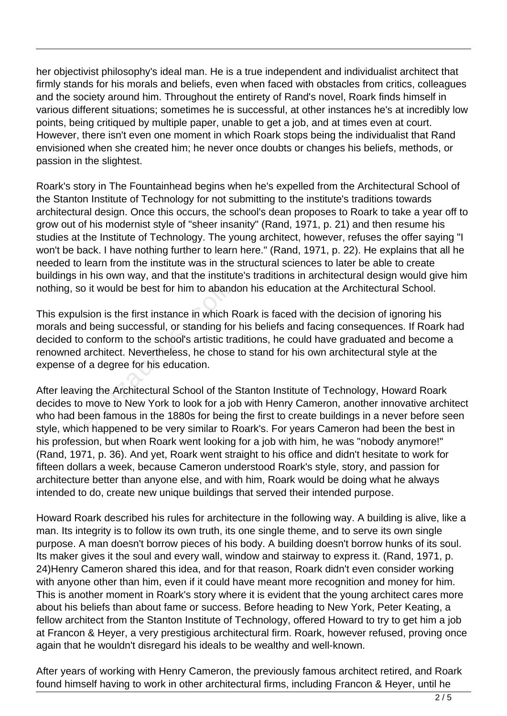her objectivist philosophy's ideal man. He is a true independent and individualist architect that firmly stands for his morals and beliefs, even when faced with obstacles from critics, colleagues and the society around him. Throughout the entirety of Rand's novel, Roark finds himself in various different situations; sometimes he is successful, at other instances he's at incredibly low points, being critiqued by multiple paper, unable to get a job, and at times even at court. However, there isn't even one moment in which Roark stops being the individualist that Rand envisioned when she created him; he never once doubts or changes his beliefs, methods, or passion in the slightest.

Roark's story in The Fountainhead begins when he's expelled from the Architectural School of the Stanton Institute of Technology for not submitting to the institute's traditions towards architectural design. Once this occurs, the school's dean proposes to Roark to take a year off to grow out of his modernist style of "sheer insanity" (Rand, 1971, p. 21) and then resume his studies at the Institute of Technology. The young architect, however, refuses the offer saying "I won't be back. I have nothing further to learn here." (Rand, 1971, p. 22). He explains that all he needed to learn from the institute was in the structural sciences to later be able to create buildings in his own way, and that the institute's traditions in architectural design would give him nothing, so it would be best for him to abandon his education at the Architectural School.

This expulsion is the first instance in which Roark is faced with the decision of ignoring his morals and being successful, or standing for his beliefs and facing consequences. If Roark had decided to conform to the school's artistic traditions, he could have graduated and become a renowned architect. Nevertheless, he chose to stand for his own architectural style at the expense of a degree for his education. o it would be best for him to aband<br>sion is the first instance in which F<br>d being successful, or standing for<br>conform to the school's artistic tra<br>architect. Nevertheless, he chose<br>f a degree for his education.<br>ng the Arch

After leaving the Architectural School of the Stanton Institute of Technology, Howard Roark decides to move to New York to look for a job with Henry Cameron, another innovative architect who had been famous in the 1880s for being the first to create buildings in a never before seen style, which happened to be very similar to Roark's. For years Cameron had been the best in his profession, but when Roark went looking for a job with him, he was "nobody anymore!" (Rand, 1971, p. 36). And yet, Roark went straight to his office and didn't hesitate to work for fifteen dollars a week, because Cameron understood Roark's style, story, and passion for architecture better than anyone else, and with him, Roark would be doing what he always intended to do, create new unique buildings that served their intended purpose.

Howard Roark described his rules for architecture in the following way. A building is alive, like a man. Its integrity is to follow its own truth, its one single theme, and to serve its own single purpose. A man doesn't borrow pieces of his body. A building doesn't borrow hunks of its soul. Its maker gives it the soul and every wall, window and stairway to express it. (Rand, 1971, p. 24)Henry Cameron shared this idea, and for that reason, Roark didn't even consider working with anyone other than him, even if it could have meant more recognition and money for him. This is another moment in Roark's story where it is evident that the young architect cares more about his beliefs than about fame or success. Before heading to New York, Peter Keating, a fellow architect from the Stanton Institute of Technology, offered Howard to try to get him a job at Francon & Heyer, a very prestigious architectural firm. Roark, however refused, proving once again that he wouldn't disregard his ideals to be wealthy and well-known.

After years of working with Henry Cameron, the previously famous architect retired, and Roark found himself having to work in other architectural firms, including Francon & Heyer, until he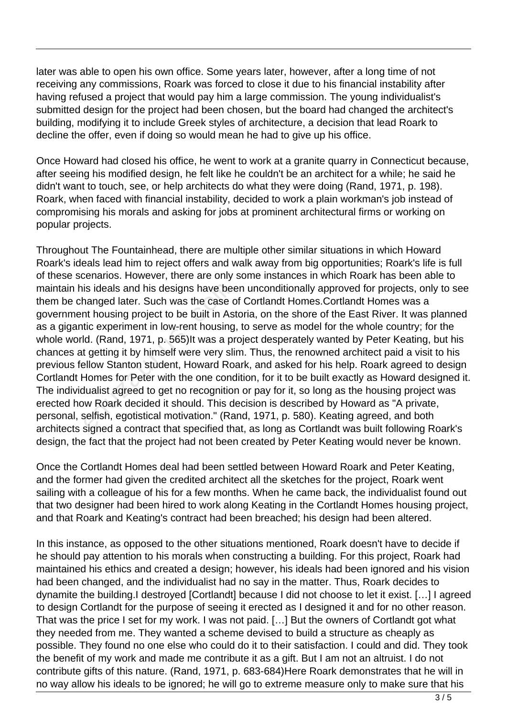later was able to open his own office. Some years later, however, after a long time of not receiving any commissions, Roark was forced to close it due to his financial instability after having refused a project that would pay him a large commission. The young individualist's submitted design for the project had been chosen, but the board had changed the architect's building, modifying it to include Greek styles of architecture, a decision that lead Roark to decline the offer, even if doing so would mean he had to give up his office.

Once Howard had closed his office, he went to work at a granite quarry in Connecticut because, after seeing his modified design, he felt like he couldn't be an architect for a while; he said he didn't want to touch, see, or help architects do what they were doing (Rand, 1971, p. 198). Roark, when faced with financial instability, decided to work a plain workman's job instead of compromising his morals and asking for jobs at prominent architectural firms or working on popular projects.

Throughout The Fountainhead, there are multiple other similar situations in which Howard Roark's ideals lead him to reject offers and walk away from big opportunities; Roark's life is full of these scenarios. However, there are only some instances in which Roark has been able to maintain his ideals and his designs have been unconditionally approved for projects, only to see them be changed later. Such was the case of Cortlandt Homes.Cortlandt Homes was a government housing project to be built in Astoria, on the shore of the East River. It was planned as a gigantic experiment in low-rent housing, to serve as model for the whole country; for the whole world. (Rand, 1971, p. 565)It was a project desperately wanted by Peter Keating, but his chances at getting it by himself were very slim. Thus, the renowned architect paid a visit to his previous fellow Stanton student, Howard Roark, and asked for his help. Roark agreed to design Cortlandt Homes for Peter with the one condition, for it to be built exactly as Howard designed it. The individualist agreed to get no recognition or pay for it, so long as the housing project was erected how Roark decided it should. This decision is described by Howard as "A private, personal, selfish, egotistical motivation." (Rand, 1971, p. 580). Keating agreed, and both architects signed a contract that specified that, as long as Cortlandt was built following Roark's design, the fact that the project had not been created by Peter Keating would never be known. is ideals and his designs have been<br>anged later. Such was the case ont housing project to be built in As<br>tic experiment in low-rent housing<br>ld. (Rand, 1971, p. 565)It was a pr<br>t getting it by himself were very sli<br>ellow St

Once the Cortlandt Homes deal had been settled between Howard Roark and Peter Keating, and the former had given the credited architect all the sketches for the project, Roark went sailing with a colleague of his for a few months. When he came back, the individualist found out that two designer had been hired to work along Keating in the Cortlandt Homes housing project, and that Roark and Keating's contract had been breached; his design had been altered.

In this instance, as opposed to the other situations mentioned, Roark doesn't have to decide if he should pay attention to his morals when constructing a building. For this project, Roark had maintained his ethics and created a design; however, his ideals had been ignored and his vision had been changed, and the individualist had no say in the matter. Thus, Roark decides to dynamite the building.I destroyed [Cortlandt] because I did not choose to let it exist. […] I agreed to design Cortlandt for the purpose of seeing it erected as I designed it and for no other reason. That was the price I set for my work. I was not paid. […] But the owners of Cortlandt got what they needed from me. They wanted a scheme devised to build a structure as cheaply as possible. They found no one else who could do it to their satisfaction. I could and did. They took the benefit of my work and made me contribute it as a gift. But I am not an altruist. I do not contribute gifts of this nature. (Rand, 1971, p. 683-684)Here Roark demonstrates that he will in no way allow his ideals to be ignored; he will go to extreme measure only to make sure that his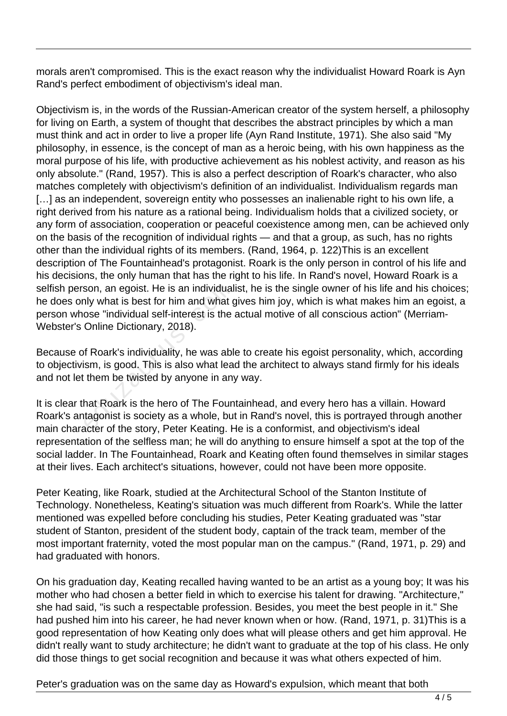morals aren't compromised. This is the exact reason why the individualist Howard Roark is Ayn Rand's perfect embodiment of objectivism's ideal man.

Objectivism is, in the words of the Russian-American creator of the system herself, a philosophy for living on Earth, a system of thought that describes the abstract principles by which a man must think and act in order to live a proper life (Ayn Rand Institute, 1971). She also said "My philosophy, in essence, is the concept of man as a heroic being, with his own happiness as the moral purpose of his life, with productive achievement as his noblest activity, and reason as his only absolute." (Rand, 1957). This is also a perfect description of Roark's character, who also matches completely with objectivism's definition of an individualist. Individualism regards man [...] as an independent, sovereign entity who possesses an inalienable right to his own life, a right derived from his nature as a rational being. Individualism holds that a civilized society, or any form of association, cooperation or peaceful coexistence among men, can be achieved only on the basis of the recognition of individual rights — and that a group, as such, has no rights other than the individual rights of its members. (Rand, 1964, p. 122)This is an excellent description of The Fountainhead's protagonist. Roark is the only person in control of his life and his decisions, the only human that has the right to his life. In Rand's novel, Howard Roark is a selfish person, an egoist. He is an individualist, he is the single owner of his life and his choices; he does only what is best for him and what gives him joy, which is what makes him an egoist, a person whose "individual self-interest is the actual motive of all conscious action" (Merriam-Webster's Online Dictionary, 2018). son, an egoist. He is an individual<br>hly what is best for him and what g<br>ose "individual self-interest is the<br>Online Dictionary, 2018).<br>of Roark's individuality, he was ablism, is good. This is also what lea<br>them be twisted

Because of Roark's individuality, he was able to create his egoist personality, which, according to objectivism, is good. This is also what lead the architect to always stand firmly for his ideals and not let them be twisted by anyone in any way.

It is clear that Roark is the hero of The Fountainhead, and every hero has a villain. Howard Roark's antagonist is society as a whole, but in Rand's novel, this is portrayed through another main character of the story, Peter Keating. He is a conformist, and objectivism's ideal representation of the selfless man; he will do anything to ensure himself a spot at the top of the social ladder. In The Fountainhead, Roark and Keating often found themselves in similar stages at their lives. Each architect's situations, however, could not have been more opposite.

Peter Keating, like Roark, studied at the Architectural School of the Stanton Institute of Technology. Nonetheless, Keating's situation was much different from Roark's. While the latter mentioned was expelled before concluding his studies, Peter Keating graduated was "star student of Stanton, president of the student body, captain of the track team, member of the most important fraternity, voted the most popular man on the campus." (Rand, 1971, p. 29) and had graduated with honors.

On his graduation day, Keating recalled having wanted to be an artist as a young boy; It was his mother who had chosen a better field in which to exercise his talent for drawing. "Architecture," she had said, "is such a respectable profession. Besides, you meet the best people in it." She had pushed him into his career, he had never known when or how. (Rand, 1971, p. 31)This is a good representation of how Keating only does what will please others and get him approval. He didn't really want to study architecture; he didn't want to graduate at the top of his class. He only did those things to get social recognition and because it was what others expected of him.

Peter's graduation was on the same day as Howard's expulsion, which meant that both